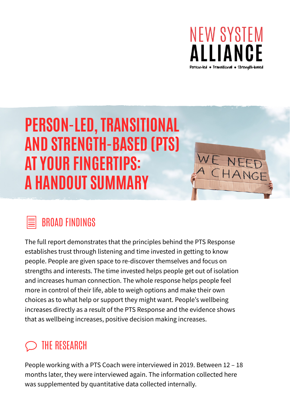

# PERSON-LED, TRANSITIONAL AND STRENGTH-BASED (PTS) AT YOUR FINGERTIPS: A HANDOUT SUMMARY

## BROAD FINDINGS

The full report demonstrates that the principles behind the PTS Response establishes trust through listening and time invested in getting to know people. People are given space to re-discover themselves and focus on strengths and interests. The time invested helps people get out of isolation and increases human connection. The whole response helps people feel more in control of their life, able to weigh options and make their own choices as to what help or support they might want. People's wellbeing increases directly as a result of the PTS Response and the evidence shows that as wellbeing increases, positive decision making increases.

## THE RESEARCH

People working with a PTS Coach were interviewed in 2019. Between 12 – 18 months later, they were interviewed again. The information collected here was supplemented by quantitative data collected internally.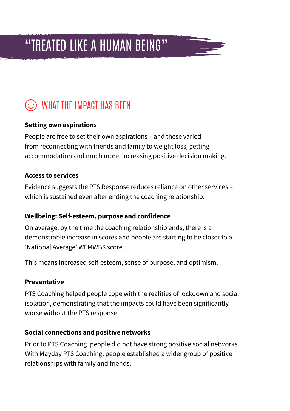## "TREATED LIKE A HUMAN BEING"

## WHAT THE IMPACT HAS BEEN

### **Setting own aspirations**

People are free to set their own aspirations – and these varied from reconnecting with friends and family to weight loss, getting accommodation and much more, increasing positive decision making.

#### **Access to services**

Evidence suggests the PTS Response reduces reliance on other services – which is sustained even after ending the coaching relationship.

#### **Wellbeing: Self-esteem, purpose and confidence**

On average, by the time the coaching relationship ends, there is a demonstrable increase in scores and people are starting to be closer to a 'National Average' WEMWBS score.

This means increased self-esteem, sense of purpose, and optimism.

#### **Preventative**

PTS Coaching helped people cope with the realities of lockdown and social isolation, demonstrating that the impacts could have been significantly worse without the PTS response.

#### **Social connections and positive networks**

Prior to PTS Coaching, people did not have strong positive social networks. With Mayday PTS Coaching, people established a wider group of positive relationships with family and friends.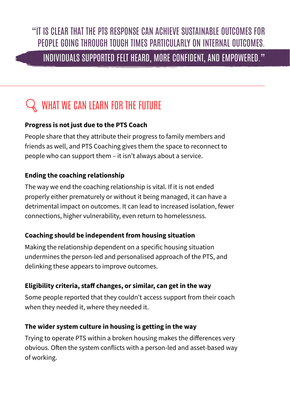## "IT IS CLEAR THAT THE PTS RESPONSE CAN ACHIEVE SUSTAINABLE OUTCOMES FOR PEOPLE GOING THROUGH TOUGH TIMES PARTICULARLY ON INTERNAL OUTCOMES.

### INDIVIDUALS SUPPORTED FELT HEARD, MORE CONFIDENT, AND EMPOWERED."

## WHAT WE CAN LEARN FOR THE FUTURE

#### **Progress is not just due to the PTS Coach**

People share that they attribute their progress to family members and friends as well, and PTS Coaching gives them the space to reconnect to people who can support them – it isn't always about a service.

### **Ending the coaching relationship**

The way we end the coaching relationship is vital. If it is not ended properly either prematurely or without it being managed, it can have a detrimental impact on outcomes. It can lead to increased isolation, fewer connections, higher vulnerability, even return to homelessness.

#### **Coaching should be independent from housing situation**

Making the relationship dependent on a specific housing situation undermines the person-led and personalised approach of the PTS, and delinking these appears to improve outcomes.

#### **Eligibility criteria, staff changes, or similar, can get in the way**

Some people reported that they couldn't access support from their coach when they needed it, where they needed it.

#### **The wider system culture in housing is getting in the way**

Trying to operate PTS within a broken housing makes the differences very obvious. Often the system conflicts with a person-led and asset-based way of working.